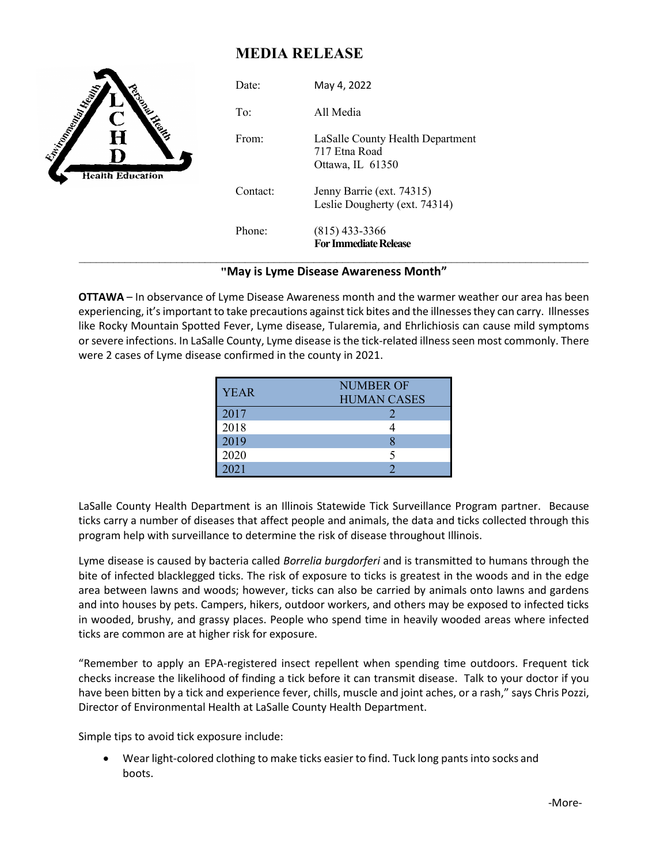## **MEDIA RELEASE**

|                                                                        | Date:    | May 4, 2022                                                           |
|------------------------------------------------------------------------|----------|-----------------------------------------------------------------------|
| $\mathbf C$                                                            | To:      | All Media                                                             |
| <b>Summer Manufacturers</b><br>$\bf H$<br>ш<br><b>Health Education</b> | From:    | LaSalle County Health Department<br>717 Etna Road<br>Ottawa, IL 61350 |
|                                                                        | Contact: | Jenny Barrie (ext. 74315)<br>Leslie Dougherty (ext. 74314)            |
|                                                                        | Phone:   | $(815)$ 433-3366<br><b>For Immediate Release</b>                      |

## **"May is Lyme Disease Awareness Month"**

**OTTAWA** – In observance of Lyme Disease Awareness month and the warmer weather our area has been experiencing, it's important to take precautions against tick bites and the illnesses they can carry. Illnesses like Rocky Mountain Spotted Fever, Lyme disease, Tularemia, and Ehrlichiosis can cause mild symptoms or severe infections. In LaSalle County, Lyme disease is the tick-related illness seen most commonly. There were 2 cases of Lyme disease confirmed in the county in 2021.

| <b>YEAR</b> | NUMBER OF<br><b>HUMAN CASES</b> |
|-------------|---------------------------------|
| 2017        |                                 |
| 2018        |                                 |
| 2019        |                                 |
| 2020        | 5                               |
| 2021        |                                 |

LaSalle County Health Department is an Illinois Statewide Tick Surveillance Program partner. Because ticks carry a number of diseases that affect people and animals, the data and ticks collected through this program help with surveillance to determine the risk of disease throughout Illinois.

Lyme disease is caused by bacteria called *Borrelia burgdorferi* and is transmitted to humans through the bite of infected blacklegged ticks. The risk of exposure to ticks is greatest in the woods and in the edge area between lawns and woods; however, ticks can also be carried by animals onto lawns and gardens and into houses by pets. Campers, hikers, outdoor workers, and others may be exposed to infected ticks in wooded, brushy, and grassy places. People who spend time in heavily wooded areas where infected ticks are common are at higher risk for exposure.

"Remember to apply an EPA-registered insect repellent when spending time outdoors. Frequent tick checks increase the likelihood of finding a tick before it can transmit disease. Talk to your doctor if you have been bitten by a tick and experience fever, chills, muscle and joint aches, or a rash," says Chris Pozzi, Director of Environmental Health at LaSalle County Health Department.

Simple tips to avoid tick exposure include:

• Wear light-colored clothing to make ticks easier to find. Tuck long pants into socks and boots.